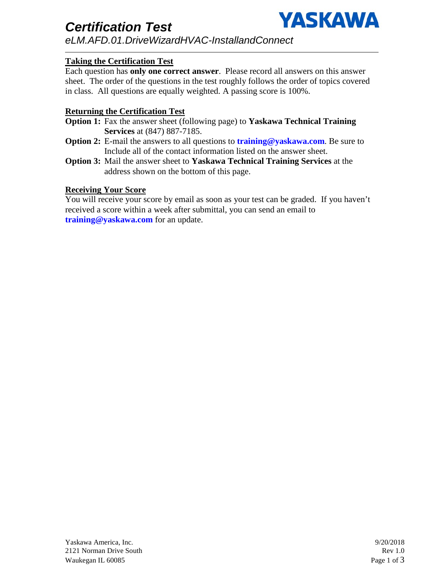

*Certification Test eLM.AFD.01.DriveWizardHVAC-InstallandConnect*

## **Taking the Certification Test**

Each question has **only one correct answer**. Please record all answers on this answer sheet. The order of the questions in the test roughly follows the order of topics covered in class. All questions are equally weighted. A passing score is 100%.

### **Returning the Certification Test**

- **Option 1:** Fax the answer sheet (following page) to **Yaskawa Technical Training Services** at (847) 887-7185.
- **Option 2:** E-mail the answers to all questions to **training@yaskawa.com**. Be sure to Include all of the contact information listed on the answer sheet.
- **Option 3:** Mail the answer sheet to **Yaskawa Technical Training Services** at the address shown on the bottom of this page.

### **Receiving Your Score**

You will receive your score by email as soon as your test can be graded. If you haven't received a score within a week after submittal, you can send an email to **training@yaskawa.com** for an update.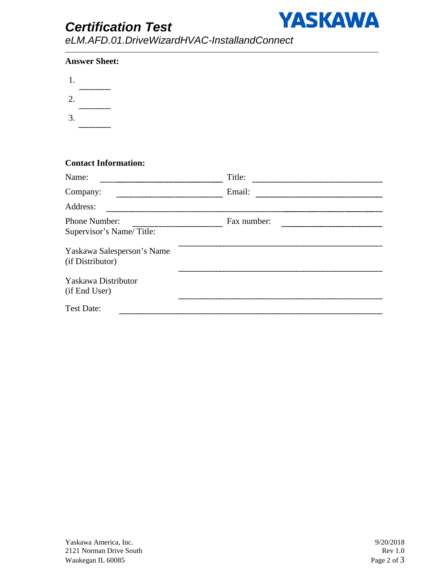# *Certification Test*



*eLM.AFD.01.DriveWizardHVAC-InstallandConnect*

### **Answer Sheet:**

| 1. |                       |
|----|-----------------------|
| 2. | --------------------- |
| 3. | --------------------- |
|    | -------------------   |

### **Contact Information:**

| Name:                                          | Title:      |  |
|------------------------------------------------|-------------|--|
| Company:                                       | Email:      |  |
| Address:                                       |             |  |
| Phone Number:<br>Supervisor's Name/Title:      | Fax number: |  |
| Yaskawa Salesperson's Name<br>(if Distributor) |             |  |
| Yaskawa Distributor<br>(if End User)           |             |  |
| <b>Test Date:</b>                              |             |  |